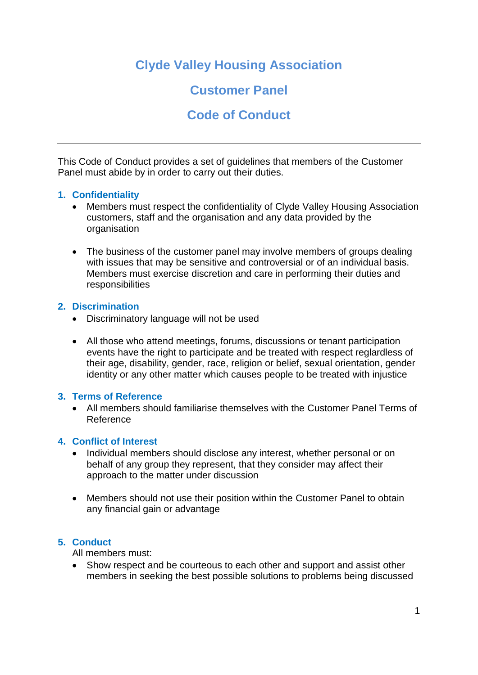# **Clyde Valley Housing Association**

# **Customer Panel**

# **Code of Conduct**

This Code of Conduct provides a set of guidelines that members of the Customer Panel must abide by in order to carry out their duties.

# **1. Confidentiality**

- Members must respect the confidentiality of Clyde Valley Housing Association customers, staff and the organisation and any data provided by the organisation
- The business of the customer panel may involve members of groups dealing with issues that may be sensitive and controversial or of an individual basis. Members must exercise discretion and care in performing their duties and responsibilities

### **2. Discrimination**

- Discriminatory language will not be used
- All those who attend meetings, forums, discussions or tenant participation events have the right to participate and be treated with respect reglardless of their age, disability, gender, race, religion or belief, sexual orientation, gender identity or any other matter which causes people to be treated with injustice

# **3. Terms of Reference**

 All members should familiarise themselves with the Customer Panel Terms of Reference

#### **4. Conflict of Interest**

- Individual members should disclose any interest, whether personal or on behalf of any group they represent, that they consider may affect their approach to the matter under discussion
- Members should not use their position within the Customer Panel to obtain any financial gain or advantage

# **5. Conduct**

All members must:

 Show respect and be courteous to each other and support and assist other members in seeking the best possible solutions to problems being discussed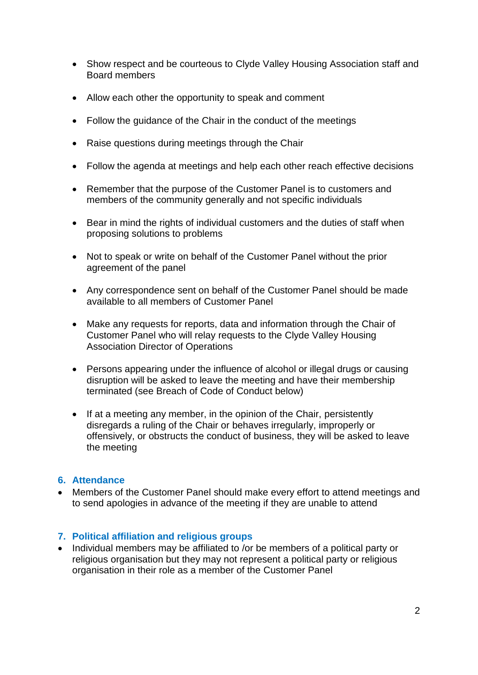- Show respect and be courteous to Clyde Valley Housing Association staff and Board members
- Allow each other the opportunity to speak and comment
- Follow the quidance of the Chair in the conduct of the meetings
- Raise questions during meetings through the Chair
- Follow the agenda at meetings and help each other reach effective decisions
- Remember that the purpose of the Customer Panel is to customers and members of the community generally and not specific individuals
- Bear in mind the rights of individual customers and the duties of staff when proposing solutions to problems
- Not to speak or write on behalf of the Customer Panel without the prior agreement of the panel
- Any correspondence sent on behalf of the Customer Panel should be made available to all members of Customer Panel
- Make any requests for reports, data and information through the Chair of Customer Panel who will relay requests to the Clyde Valley Housing Association Director of Operations
- Persons appearing under the influence of alcohol or illegal drugs or causing disruption will be asked to leave the meeting and have their membership terminated (see Breach of Code of Conduct below)
- If at a meeting any member, in the opinion of the Chair, persistently disregards a ruling of the Chair or behaves irregularly, improperly or offensively, or obstructs the conduct of business, they will be asked to leave the meeting

#### **6. Attendance**

 Members of the Customer Panel should make every effort to attend meetings and to send apologies in advance of the meeting if they are unable to attend

#### **7. Political affiliation and religious groups**

• Individual members may be affiliated to /or be members of a political party or religious organisation but they may not represent a political party or religious organisation in their role as a member of the Customer Panel